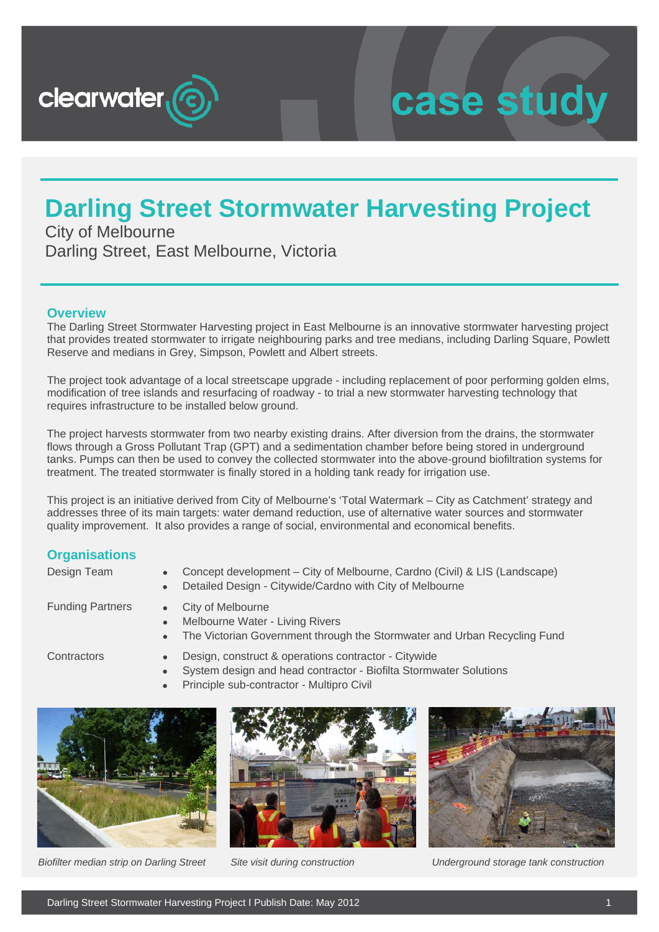

# case study

### **Darling Street Stormwater Harvesting Project**

City of Melbourne Darling Street, East Melbourne, Victoria

#### **Overview**

The Darling Street Stormwater Harvesting project in East Melbourne is an innovative stormwater harvesting project that provides treated stormwater to irrigate neighbouring parks and tree medians, including Darling Square, Powlett Reserve and medians in Grey, Simpson, Powlett and Albert streets.

The project took advantage of a local streetscape upgrade - including replacement of poor performing golden elms, modification of tree islands and resurfacing of roadway - to trial a new stormwater harvesting technology that requires infrastructure to be installed below ground.

The project harvests stormwater from two nearby existing drains. After diversion from the drains, the stormwater flows through a Gross Pollutant Trap (GPT) and a sedimentation chamber before being stored in underground tanks. Pumps can then be used to convey the collected stormwater into the above-ground biofiltration systems for treatment. The treated stormwater is finally stored in a holding tank ready for irrigation use.

This project is an initiative derived from City of Melbourne's 'Total Watermark – City as Catchment' strategy and addresses three of its main targets: water demand reduction, use of alternative water sources and stormwater quality improvement. It also provides a range of social, environmental and economical benefits.

#### **Organisations**

| Design Team             | Concept development – City of Melbourne, Cardno (Civil) & LIS (Landscape)<br>$\bullet$<br>Detailed Design - Citywide/Cardno with City of Melbourne<br>$\bullet$ |
|-------------------------|-----------------------------------------------------------------------------------------------------------------------------------------------------------------|
| <b>Funding Partners</b> | • City of Melbourne<br>• Melbourne Water - Living Rivers<br>The Victorian Government through the Stormwater and Urban Recycling Fund<br>$\bullet$               |
| Contractors             | Design, construct & operations contractor - Citywide<br>System design and head contractor - Biofilta Stormwater Solutions                                       |

• Principle sub-contractor - Multipro Civil







*Biofilter median strip on Darling Street Site visit during construction Underground storage tank construction*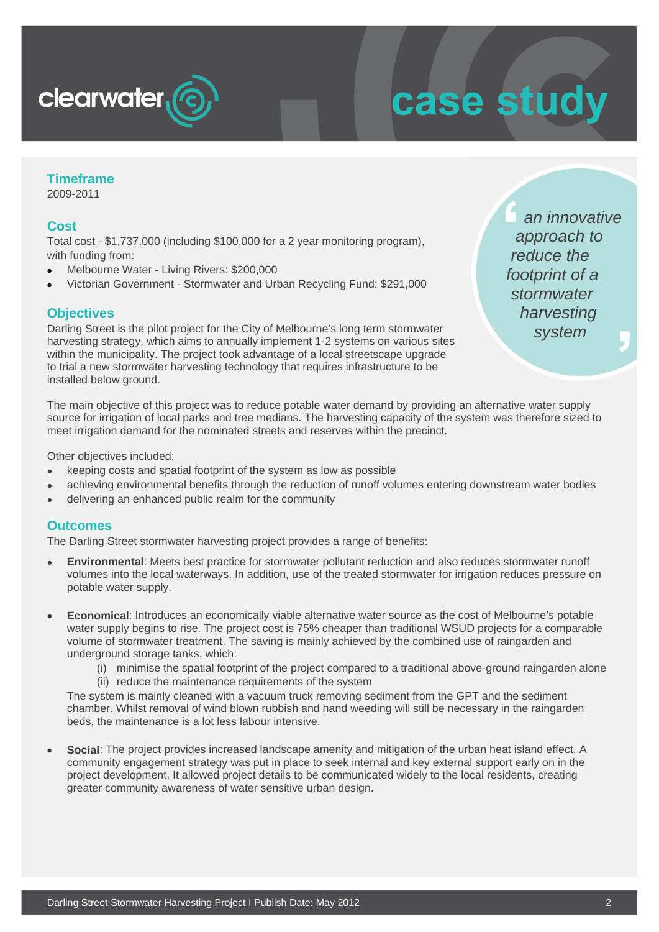

# case study

#### **Timeframe**

2009-2011

#### **Cost**

Total cost - \$1,737,000 (including \$100,000 for a 2 year monitoring program), with funding from:

- Melbourne Water Living Rivers: \$200,000
- Victorian Government Stormwater and Urban Recycling Fund: \$291,000

#### **Objectives**

Darling Street is the pilot project for the City of Melbourne's long term stormwater harvesting strategy, which aims to annually implement 1-2 systems on various sites within the municipality. The project took advantage of a local streetscape upgrade to trial a new stormwater harvesting technology that requires infrastructure to be installed below ground.

 *an innovative approach to reduce the footprint of a stormwater harvesting system*

The main objective of this project was to reduce potable water demand by providing an alternative water supply source for irrigation of local parks and tree medians. The harvesting capacity of the system was therefore sized to meet irrigation demand for the nominated streets and reserves within the precinct.

Other objectives included:

- keeping costs and spatial footprint of the system as low as possible
- achieving environmental benefits through the reduction of runoff volumes entering downstream water bodies
- delivering an enhanced public realm for the community

#### **Outcomes**

The Darling Street stormwater harvesting project provides a range of benefits:

- **Environmental**: Meets best practice for stormwater pollutant reduction and also reduces stormwater runoff volumes into the local waterways. In addition, use of the treated stormwater for irrigation reduces pressure on potable water supply.
- **Economical**: Introduces an economically viable alternative water source as the cost of Melbourne's potable water supply begins to rise. The project cost is 75% cheaper than traditional WSUD projects for a comparable volume of stormwater treatment. The saving is mainly achieved by the combined use of raingarden and underground storage tanks, which:
	- (i) minimise the spatial footprint of the project compared to a traditional above-ground raingarden alone (ii) reduce the maintenance requirements of the system

The system is mainly cleaned with a vacuum truck removing sediment from the GPT and the sediment chamber. Whilst removal of wind blown rubbish and hand weeding will still be necessary in the raingarden beds, the maintenance is a lot less labour intensive.

• **Social**: The project provides increased landscape amenity and mitigation of the urban heat island effect. A community engagement strategy was put in place to seek internal and key external support early on in the project development. It allowed project details to be communicated widely to the local residents, creating greater community awareness of water sensitive urban design.